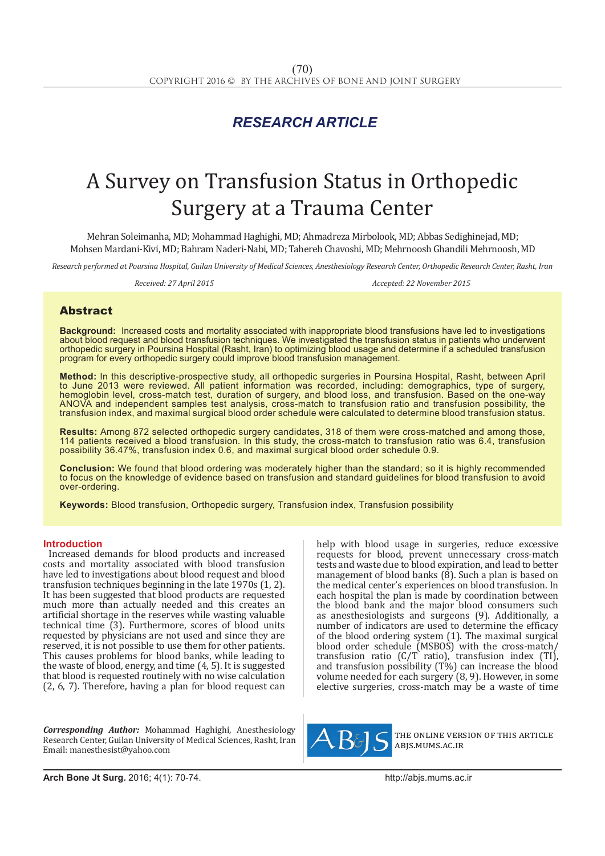# *RESEARCH ARTICLE*

# A Survey on Transfusion Status in Orthopedic Surgery at a Trauma Center

Mehran Soleimanha, MD; Mohammad Haghighi, MD; Ahmadreza Mirbolook, MD; Abbas Sedighinejad, MD; Mohsen Mardani-Kivi, MD; Bahram Naderi-Nabi, MD; Tahereh Chavoshi, MD; Mehrnoosh Ghandili Mehrnoosh, MD

*Research performed at Poursina Hospital, Guilan University of Medical Sciences, Anesthesiology Research Center, Orthopedic Research Center, Rasht, Iran*

*Received: 27 April 2015 Accepted: 22 November 2015*

## Abstract

**Background:** Increased costs and mortality associated with inappropriate blood transfusions have led to investigations about blood request and blood transfusion techniques. We investigated the transfusion status in patients who underwent orthopedic surgery in Poursina Hospital (Rasht, Iran) to optimizing blood usage and determine if a scheduled transfusion program for every orthopedic surgery could improve blood transfusion management.

**Method:** In this descriptive-prospective study, all orthopedic surgeries in Poursina Hospital, Rasht, between April to June 2013 were reviewed. All patient information was recorded, including: demographics, type of surgery, hemoglobin level, cross-match test, duration of surgery, and blood loss, and transfusion. Based on the one-way ANOVA and independent samples test analysis, cross-match to transfusion ratio and transfusion possibility, the transfusion index, and maximal surgical blood order schedule were calculated to determine blood transfusion status.

**Results:** Among 872 selected orthopedic surgery candidates, 318 of them were cross-matched and among those, 114 patients received a blood transfusion. In this study, the cross-match to transfusion ratio was 6.4, transfusion possibility 36.47%, transfusion index 0.6, and maximal surgical blood order schedule 0.9.

**Conclusion:** We found that blood ordering was moderately higher than the standard; so it is highly recommended to focus on the knowledge of evidence based on transfusion and standard guidelines for blood transfusion to avoid over-ordering.

**Keywords:** Blood transfusion, Orthopedic surgery, Transfusion index, Transfusion possibility

#### **Introduction**

Increased demands for blood products and increased costs and mortality associated with blood transfusion have led to investigations about blood request and blood transfusion techniques beginning in the late 1970s (1, 2). It has been suggested that blood products are requested much more than actually needed and this creates an artificial shortage in the reserves while wasting valuable technical time  $(3)$ . Furthermore, scores of blood units requested by physicians are not used and since they are reserved, it is not possible to use them for other patients. This causes problems for blood banks, while leading to the waste of blood, energy, and time (4, 5). It is suggested that blood is requested routinely with no wise calculation (2, 6, 7). Therefore, having a plan for blood request can

*Corresponding Author:* Mohammad Haghighi, Anesthesiology Research Center, Guilan University of Medical Sciences, Rasht, Iran Email: manesthesist@yahoo.com

help with blood usage in surgeries, reduce excessive requests for blood, prevent unnecessary cross-match tests and waste due to blood expiration, and lead to better management of blood banks  $(8)$ . Such a plan is based on the medical center's experiences on blood transfusion. In each hospital the plan is made by coordination between the blood bank and the major blood consumers such as anesthesiologists and surgeons (9). Additionally, a number of indicators are used to determine the efficacy of the blood ordering system (1). The maximal surgical blood order schedule (MSBOS) with the cross-match/ transfusion ratio (C/T ratio), transfusion index (TI), and transfusion possibility (T%) can increase the blood volume needed for each surgery (8, 9). However, in some elective surgeries, cross-match may be a waste of time



the online version of this article abjs.mums.ac.ir

**Arch Bone Jt Surg.** 2016; 4(1): 70-74.http://abjs.mums.ac.ir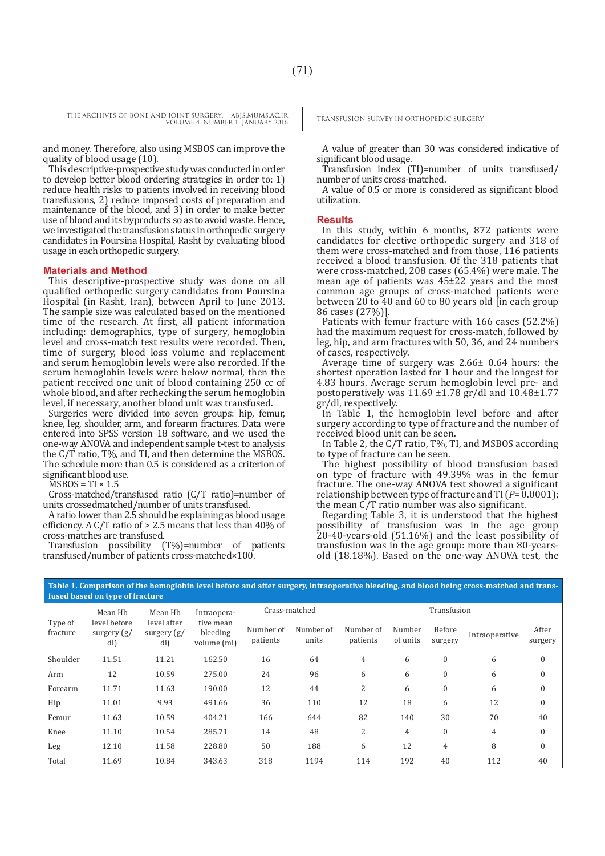and money. Therefore, also using MSBOS can improve the quality of blood usage (10).

This descriptive-prospective study was conducted in order to develop better blood ordering strategies in order to: 1) reduce health risks to patients involved in receiving blood transfusions, 2) reduce imposed costs of preparation and maintenance of the blood, and 3) in order to make better use of blood and its byproducts so as to avoid waste. Hence, we investigated the transfusion status in orthopedic surgery candidates in Poursina Hospital, Rasht by evaluating blood usage in each orthopedic surgery.

#### **Materials and Method**

This descriptive-prospective study was done on all qualified orthopedic surgery candidates from Poursina Hospital (in Rasht, Iran), between April to June 2013. The sample size was calculated based on the mentioned time of the research. At first, all patient information including: demographics, type of surgery, hemoglobin level and cross-match test results were recorded. Then, time of surgery, blood loss volume and replacement and serum hemoglobin levels were also recorded. If the serum hemoglobin levels were below normal, then the patient received one unit of blood containing 250 cc of whole blood, and after rechecking the serum hemoglobin level, if necessary, another blood unit was transfused.

Surgeries were divided into seven groups: hip, femur, knee, leg, shoulder, arm, and forearm fractures. Data were entered into SPSS version 18 software, and we used the one-way ANOVA and independent sample t-test to analysis the C/T ratio, T%, and TI, and then determine the MSBOS. The schedule more than 0.5 is considered as a criterion of significant blood use.

 $MSBOS = TI \times 1.5$ 

Cross-matched/transfused ratio (C/T ratio)=number of units crossedmatched/number of units transfused.

A ratio lower than 2.5 should be explaining as blood usage efficiency. A C/T ratio of > 2.5 means that less than 40% of cross-matches are transfused.

Transfusion possibility (T%)=number of patients transfused/number of patients cross-matched×100.

A value of greater than 30 was considered indicative of significant blood usage.

Transfusion index (TI)=number of units transfused/ number of units cross-matched.

A value of 0.5 or more is considered as significant blood utilization.

#### **Results**

In this study, within 6 months, 872 patients were candidates for elective orthopedic surgery and 318 of them were cross-matched and from those, 116 patients received a blood transfusion. Of the 318 patients that were cross-matched, 208 cases (65.4%) were male. The mean age of patients was 45±22 years and the most common age groups of cross-matched patients were between 20 to 40 and 60 to 80 years old [in each group 86 cases (27%)].

Patients with femur fracture with 166 cases (52.2%) had the maximum request for cross-match, followed by leg, hip, and arm fractures with 50, 36, and 24 numbers of cases, respectively.

Average time of surgery was 2.66± 0.64 hours: the shortest operation lasted for 1 hour and the longest for 4.83 hours. Average serum hemoglobin level pre- and postoperatively was 11.69 ±1.78 gr/dl and 10.48±1.77 gr/dl, respectively.

In Table 1, the hemoglobin level before and after surgery according to type of fracture and the number of received blood unit can be seen.

In Table 2, the C/T ratio, T%, TI, and MSBOS according to type of fracture can be seen.

The highest possibility of blood transfusion based on type of fracture with 49.39% was in the femur fracture. The one-way ANOVA test showed a significant relationship between type of fracture and TI (*P*= 0.0001); the mean C/T ratio number was also significant.

Regarding Table 3, it is understood that the highest possibility of transfusion was in the age group 20-40-years-old (51.16%) and the least possibility of transfusion was in the age group: more than 80-yearsold (18.18%). Based on the one-way ANOVA test, the

| fused based on type of fracture |                                                 |                                                |                                                     |                       |                    |                       |                    |                   |                |                  |
|---------------------------------|-------------------------------------------------|------------------------------------------------|-----------------------------------------------------|-----------------------|--------------------|-----------------------|--------------------|-------------------|----------------|------------------|
| Type of<br>fracture             | Mean Hb<br>level before<br>surgery $(g)$<br>dl) | Mean Hb<br>level after<br>surgery $(g)$<br>dl) | Intraopera-<br>tive mean<br>bleeding<br>volume (ml) | Crass-matched         |                    | Transfusion           |                    |                   |                |                  |
|                                 |                                                 |                                                |                                                     | Number of<br>patients | Number of<br>units | Number of<br>patients | Number<br>of units | Before<br>surgery | Intraoperative | After<br>surgery |
| Shoulder                        | 11.51                                           | 11.21                                          | 162.50                                              | 16                    | 64                 | $\overline{4}$        | 6                  | $\mathbf{0}$      | 6              | $\theta$         |
| Arm                             | 12                                              | 10.59                                          | 275.00                                              | 24                    | 96                 | 6                     | 6                  | $\boldsymbol{0}$  | 6              | $\mathbf{0}$     |
| Forearm                         | 11.71                                           | 11.63                                          | 190.00                                              | 12                    | 44                 | 2                     | 6                  | $\boldsymbol{0}$  | 6              | $\mathbf{0}$     |
| Hip                             | 11.01                                           | 9.93                                           | 491.66                                              | 36                    | 110                | 12                    | 18                 | 6                 | 12             | $\theta$         |
| Femur                           | 11.63                                           | 10.59                                          | 404.21                                              | 166                   | 644                | 82                    | 140                | 30                | 70             | 40               |
| Knee                            | 11.10                                           | 10.54                                          | 285.71                                              | 14                    | 48                 | 2                     | 4                  | $\boldsymbol{0}$  | 4              | $\mathbf{0}$     |
| Leg                             | 12.10                                           | 11.58                                          | 228.80                                              | 50                    | 188                | 6                     | 12                 | $\overline{4}$    | 8              | $\theta$         |
| Total                           | 11.69                                           | 10.84                                          | 343.63                                              | 318                   | 1194               | 114                   | 192                | 40                | 112            | 40               |

**Table 1. Comparison of the hemoglobin level before and after surgery, intraoperative bleeding, and blood being cross-matched and transfused based on type of fracture**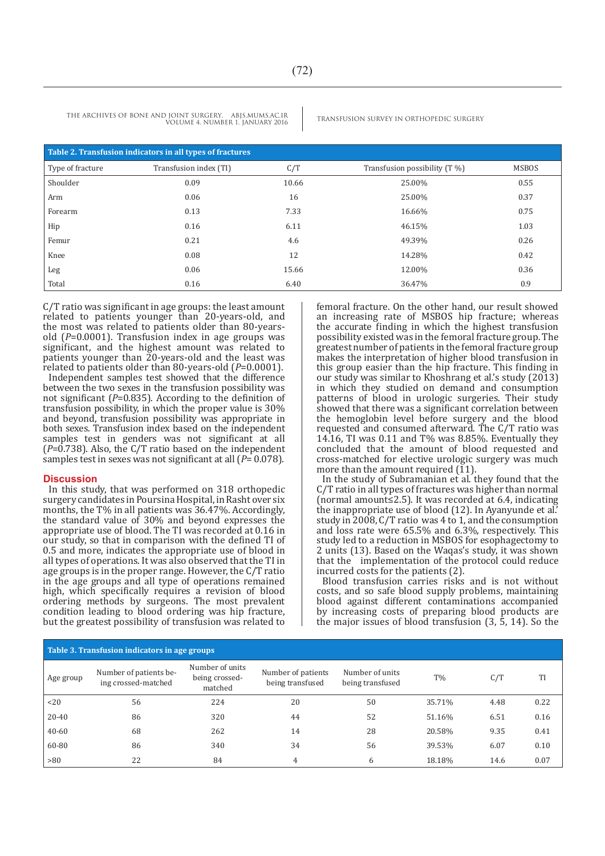| Table 2. Transfusion indicators in all types of fractures |                        |       |                               |              |  |  |  |
|-----------------------------------------------------------|------------------------|-------|-------------------------------|--------------|--|--|--|
| Type of fracture                                          | Transfusion index (TI) | C/T   | Transfusion possibility (T %) | <b>MSBOS</b> |  |  |  |
| Shoulder                                                  | 0.09                   | 10.66 | 25.00%                        | 0.55         |  |  |  |
| Arm                                                       | 0.06                   | 16    | 25.00%                        | 0.37         |  |  |  |
| Forearm                                                   | 0.13                   | 7.33  | 16.66%                        | 0.75         |  |  |  |
| Hip                                                       | 0.16                   | 6.11  | 46.15%                        | 1.03         |  |  |  |
| Femur                                                     | 0.21                   | 4.6   | 49.39%                        | 0.26         |  |  |  |
| Knee                                                      | 0.08                   | 12    | 14.28%                        | 0.42         |  |  |  |
| Leg                                                       | 0.06                   | 15.66 | 12.00%                        | 0.36         |  |  |  |
| Total                                                     | 0.16                   | 6.40  | 36.47%                        | 0.9          |  |  |  |

C/T ratio was significant in age groups: the least amount related to patients younger than 20-years-old, and the most was related to patients older than 80-yearsold (*P*=0.0001). Transfusion index in age groups was significant, and the highest amount was related to patients younger than 20-years-old and the least was related to patients older than 80-years-old (*P*=0.0001).

Independent samples test showed that the difference between the two sexes in the transfusion possibility was not significant (*P*=0.835). According to the definition of transfusion possibility, in which the proper value is 30% and beyond, transfusion possibility was appropriate in both sexes. Transfusion index based on the independent samples test in genders was not significant at all (*P*=0.738). Also, the C/T ratio based on the independent samples test in sexes was not significant at all (*P*= 0.078).

#### **Discussion**

In this study, that was performed on 318 orthopedic surgery candidates in Poursina Hospital, in Rasht over six months, the T% in all patients was 36.47%. Accordingly, the standard value of 30% and beyond expresses the appropriate use of blood. The TI was recorded at 0.16 in our study, so that in comparison with the defined TI of 0.5 and more, indicates the appropriate use of blood in all types of operations. It was also observed that the TI in age groups is in the proper range. However, the C/T ratio in the age groups and all type of operations remained high, which specifically requires a revision of blood ordering methods by surgeons. The most prevalent condition leading to blood ordering was hip fracture, but the greatest possibility of transfusion was related to

femoral fracture. On the other hand, our result showed an increasing rate of MSBOS hip fracture; whereas the accurate finding in which the highest transfusion possibility existed was in the femoral fracture group. The greatest number of patients in the femoral fracture group makes the interpretation of higher blood transfusion in this group easier than the hip fracture. This finding in our study was similar to Khoshrang et al.'s study (2013) in which they studied on demand and consumption patterns of blood in urologic surgeries. Their study showed that there was a significant correlation between the hemoglobin level before surgery and the blood requested and consumed afterward. The C/T ratio was 14.16, TI was 0.11 and T% was 8.85%. Eventually they concluded that the amount of blood requested and cross-matched for elective urologic surgery was much more than the amount required (11).

In the study of Subramanian et al. they found that the C/T ratio in all types of fractures was higher than normal (normal amount≤2.5). It was recorded at 6.4, indicating the inappropriate use of blood (12). In Ayanyunde et al.' study in 2008, C/T ratio was 4 to 1, and the consumption and loss rate were 65.5% and 6.3%, respectively. This study led to a reduction in MSBOS for esophagectomy to 2 units (13). Based on the Waqas's study, it was shown that the implementation of the protocol could reduce incurred costs for the patients (2).

Blood transfusion carries risks and is not without costs, and so safe blood supply problems, maintaining blood against different contaminations accompanied by increasing costs of preparing blood products are the major issues of blood transfusion (3, 5, 14). So the

| Table 3. Transfusion indicators in age groups |                                               |                                              |                                        |                                     |        |      |      |  |
|-----------------------------------------------|-----------------------------------------------|----------------------------------------------|----------------------------------------|-------------------------------------|--------|------|------|--|
| Age group                                     | Number of patients be-<br>ing crossed-matched | Number of units<br>being crossed-<br>matched | Number of patients<br>being transfused | Number of units<br>being transfused | $T\%$  | C/T  | TI   |  |
| <20                                           | 56                                            | 224                                          | 20                                     | 50                                  | 35.71% | 4.48 | 0.22 |  |
| $20 - 40$                                     | 86                                            | 320                                          | 44                                     | 52                                  | 51.16% | 6.51 | 0.16 |  |
| $40 - 60$                                     | 68                                            | 262                                          | 14                                     | 28                                  | 20.58% | 9.35 | 0.41 |  |
| 60-80                                         | 86                                            | 340                                          | 34                                     | 56                                  | 39.53% | 6.07 | 0.10 |  |
| >80                                           | 22                                            | 84                                           | 4                                      | 6                                   | 18.18% | 14.6 | 0.07 |  |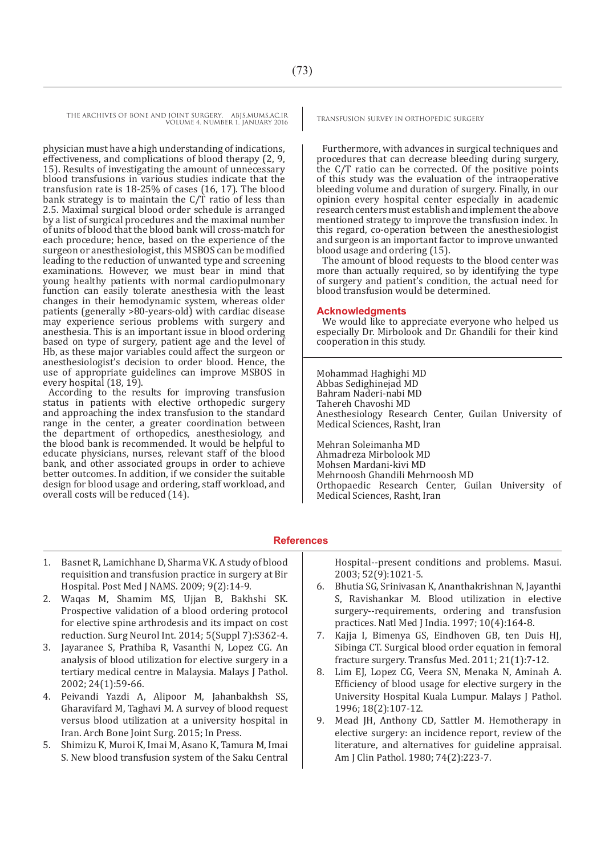physician must have a high understanding of indications, effectiveness, and complications of blood therapy (2, 9, 15). Results of investigating the amount of unnecessary blood transfusions in various studies indicate that the transfusion rate is 18-25% of cases (16, 17). The blood bank strategy is to maintain the  $C/T$  ratio of less than 2.5. Maximal surgical blood order schedule is arranged by a list of surgical procedures and the maximal number of units of blood that the blood bank will cross-match for each procedure; hence, based on the experience of the surgeon or anesthesiologist, this MSBOS can be modified leading to the reduction of unwanted type and screening examinations. However, we must bear in mind that young healthy patients with normal cardiopulmonary function can easily tolerate anesthesia with the least changes in their hemodynamic system, whereas older patients (generally >80-years-old) with cardiac disease may experience serious problems with surgery and anesthesia. This is an important issue in blood ordering based on type of surgery, patient age and the level of Hb, as these major variables could affect the surgeon or anesthesiologist's decision to order blood. Hence, the use of appropriate guidelines can improve MSBOS in every hospital (18, 19).

According to the results for improving transfusion status in patients with elective orthopedic surgery and approaching the index transfusion to the standard range in the center, a greater coordination between the department of orthopedics, anesthesiology, and the blood bank is recommended. It would be helpful to educate physicians, nurses, relevant staff of the blood bank, and other associated groups in order to achieve better outcomes. In addition, if we consider the suitable design for blood usage and ordering, staff workload, and overall costs will be reduced (14).

Furthermore, with advances in surgical techniques and procedures that can decrease bleeding during surgery, the C/T ratio can be corrected. Of the positive points of this study was the evaluation of the intraoperative bleeding volume and duration of surgery. Finally, in our opinion every hospital center especially in academic research centers must establish and implement the above mentioned strategy to improve the transfusion index. In this regard, co-operation between the anesthesiologist and surgeon is an important factor to improve unwanted blood usage and ordering (15).

The amount of blood requests to the blood center was more than actually required, so by identifying the type of surgery and patient's condition, the actual need for blood transfusion would be determined.

#### **Acknowledgments**

We would like to appreciate everyone who helped us especially Dr. Mirbolook and Dr. Ghandili for their kind cooperation in this study.

Mohammad Haghighi MD Abbas Sedighinejad MD Bahram Naderi-nabi MD Tahereh Chavoshi MD Anesthesiology Research Center, Guilan University of Medical Sciences, Rasht, Iran

Mehran Soleimanha MD Ahmadreza Mirbolook MD Mohsen Mardani-kivi MD Mehrnoosh Ghandili Mehrnoosh MD Orthopaedic Research Center, Guilan University of Medical Sciences, Rasht, Iran

### **References**

- 1. Basnet R, Lamichhane D, Sharma VK. A study of blood requisition and transfusion practice in surgery at Bir Hospital. Post Med J NAMS. 2009; 9(2):14-9.
- 2. Waqas M, Shamim MS, Ujjan B, Bakhshi SK. Prospective validation of a blood ordering protocol for elective spine arthrodesis and its impact on cost reduction. Surg Neurol Int. 2014; 5(Suppl 7):S362-4.
- 3. Jayaranee S, Prathiba R, Vasanthi N, Lopez CG. An analysis of blood utilization for elective surgery in a tertiary medical centre in Malaysia. Malays J Pathol. 2002; 24(1):59-66.
- 4. Peivandi Yazdi A, Alipoor M, Jahanbakhsh SS, Gharavifard M, Taghavi M. A survey of blood request versus blood utilization at a university hospital in Iran. Arch Bone Joint Surg. 2015; In Press.
- 5. Shimizu K, Muroi K, Imai M, Asano K, Tamura M, Imai S. New blood transfusion system of the Saku Central

Hospital--present conditions and problems. Masui. 2003; 52(9):1021-5.

- 6. Bhutia SG, Srinivasan K, Ananthakrishnan N, Jayanthi S, Ravishankar M. Blood utilization in elective surgery--requirements, ordering and transfusion practices. Natl Med J India. 1997; 10(4):164-8.
- 7. Kajja I, Bimenya GS, Eindhoven GB, ten Duis HJ, Sibinga CT. Surgical blood order equation in femoral fracture surgery. Transfus Med. 2011; 21(1):7-12.
- 8. Lim EJ, Lopez CG, Veera SN, Menaka N, Aminah A. Efficiency of blood usage for elective surgery in the University Hospital Kuala Lumpur. Malays J Pathol. 1996; 18(2):107-12.
- 9. Mead JH, Anthony CD, Sattler M. Hemotherapy in elective surgery: an incidence report, review of the literature, and alternatives for guideline appraisal. Am J Clin Pathol. 1980; 74(2):223-7.